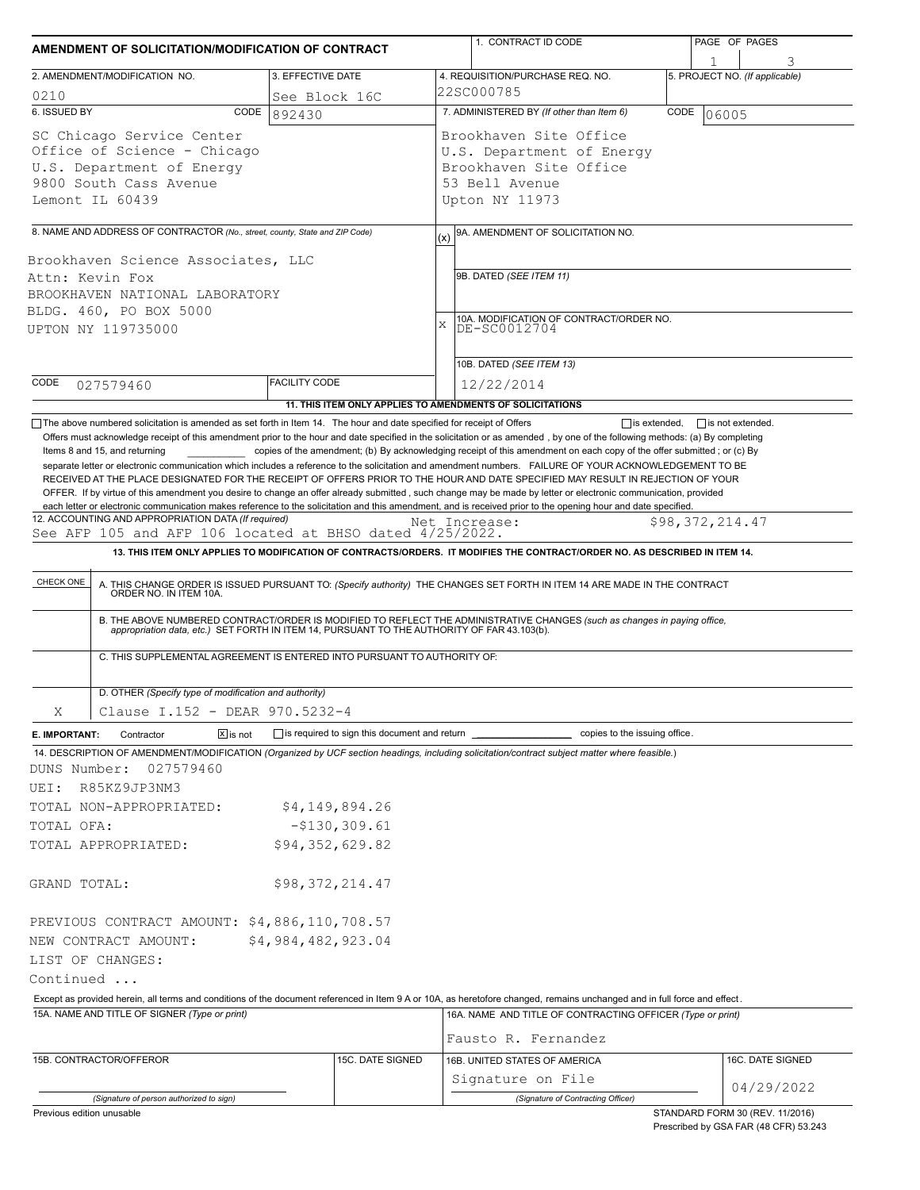| 2. AMENDMENT/MODIFICATION NO.<br>3. EFFECTIVE DATE<br>0210<br>See Block 16C<br>6. ISSUED BY<br>CODE<br>892430                                                                                                                                                                                                                                                                                                      |                                                       | 1. CONTRACT ID CODE                                                                                                        |                 | PAGE OF PAGES                  |  |  |
|--------------------------------------------------------------------------------------------------------------------------------------------------------------------------------------------------------------------------------------------------------------------------------------------------------------------------------------------------------------------------------------------------------------------|-------------------------------------------------------|----------------------------------------------------------------------------------------------------------------------------|-----------------|--------------------------------|--|--|
|                                                                                                                                                                                                                                                                                                                                                                                                                    |                                                       | 4. REQUISITION/PURCHASE REQ. NO.                                                                                           |                 |                                |  |  |
|                                                                                                                                                                                                                                                                                                                                                                                                                    | 22SC000785                                            | 5. PROJECT NO. (If applicable)                                                                                             |                 |                                |  |  |
|                                                                                                                                                                                                                                                                                                                                                                                                                    |                                                       | 7. ADMINISTERED BY (If other than Item 6)                                                                                  | CODE            |                                |  |  |
| SC Chicago Service Center<br>Office of Science - Chicago<br>U.S. Department of Energy<br>9800 South Cass Avenue<br>Lemont IL 60439                                                                                                                                                                                                                                                                                 |                                                       | 06005<br>Brookhaven Site Office<br>U.S. Department of Energy<br>Brookhaven Site Office<br>53 Bell Avenue<br>Upton NY 11973 |                 |                                |  |  |
| 8. NAME AND ADDRESS OF CONTRACTOR (No., street, county, State and ZIP Code)                                                                                                                                                                                                                                                                                                                                        | (x)                                                   | 9A. AMENDMENT OF SOLICITATION NO.                                                                                          |                 |                                |  |  |
| Brookhaven Science Associates, LLC<br>Attn: Kevin Fox<br>BROOKHAVEN NATIONAL LABORATORY<br>BLDG. 460, PO BOX 5000<br>UPTON NY 119735000                                                                                                                                                                                                                                                                            | $\bar{x}$                                             | 9B. DATED (SEE ITEM 11)<br>10A. MODIFICATION OF CONTRACT/ORDER NO.<br>DE-SC0012704<br>10B. DATED (SEE ITEM 13)             |                 |                                |  |  |
| <b>FACILITY CODE</b><br>CODE<br>027579460                                                                                                                                                                                                                                                                                                                                                                          |                                                       | 12/22/2014                                                                                                                 |                 |                                |  |  |
| 11. THIS ITEM ONLY APPLIES TO AMENDMENTS OF SOLICITATIONS                                                                                                                                                                                                                                                                                                                                                          |                                                       |                                                                                                                            |                 |                                |  |  |
| 12. ACCOUNTING AND APPROPRIATION DATA (If required)<br>See AFP 105 and AFP 106 located at BHSO dated $4/25/2022$ .<br>13. THIS ITEM ONLY APPLIES TO MODIFICATION OF CONTRACTS/ORDERS. IT MODIFIES THE CONTRACT/ORDER NO. AS DESCRIBED IN ITEM 14.<br>CHECK ONE<br>A. THIS CHANGE ORDER IS ISSUED PURSUANT TO: (Specify authority) THE CHANGES SET FORTH IN ITEM 14 ARE MADE IN THE CONTRACT ORDER NO. IN ITEM 10A. |                                                       | Net Increase:                                                                                                              | \$98,372,214.47 |                                |  |  |
| B. THE ABOVE NUMBERED CONTRACT/ORDER IS MODIFIED TO REFLECT THE ADMINISTRATIVE CHANGES (such as changes in paying office,<br>appropriation data, etc.) SET FORTH IN ITEM 14, PURSUANT TO THE AUTHORITY OF FAR 43.103(b).<br>C. THIS SUPPLEMENTAL AGREEMENT IS ENTERED INTO PURSUANT TO AUTHORITY OF:                                                                                                               |                                                       |                                                                                                                            |                 |                                |  |  |
| Clause I.152 - DEAR 970.5232-4                                                                                                                                                                                                                                                                                                                                                                                     | D. OTHER (Specify type of modification and authority) |                                                                                                                            |                 |                                |  |  |
| Χ<br>$X$ is not<br>Contractor                                                                                                                                                                                                                                                                                                                                                                                      |                                                       |                                                                                                                            |                 |                                |  |  |
| E. IMPORTANT:<br>14. DESCRIPTION OF AMENDMENT/MODIFICATION (Organized by UCF section headings, including solicitation/contract subject matter where feasible.)<br>DUNS Number:<br>027579460<br>R85KZ9JP3NM3<br>UEI:<br>TOTAL NON-APPROPRIATED:<br>\$4,149,894.26<br>$-$130,309.61$<br>TOTAL OFA:<br>\$94,352,629.82<br>TOTAL APPROPRIATED:                                                                         |                                                       |                                                                                                                            |                 |                                |  |  |
| \$98,372,214.47<br>GRAND TOTAL:                                                                                                                                                                                                                                                                                                                                                                                    |                                                       |                                                                                                                            |                 |                                |  |  |
| PREVIOUS CONTRACT AMOUNT: \$4,886,110,708.57                                                                                                                                                                                                                                                                                                                                                                       |                                                       |                                                                                                                            |                 |                                |  |  |
| \$4,984,482,923.04<br>NEW CONTRACT AMOUNT:<br>LIST OF CHANGES:<br>Continued<br>Except as provided herein, all terms and conditions of the document referenced in Item 9 A or 10A, as heretofore changed, remains unchanged and in full force and effect.<br>15A. NAME AND TITLE OF SIGNER (Type or print)                                                                                                          |                                                       | 16A. NAME AND TITLE OF CONTRACTING OFFICER (Type or print)                                                                 |                 |                                |  |  |
|                                                                                                                                                                                                                                                                                                                                                                                                                    |                                                       | Fausto R. Fernandez                                                                                                        |                 |                                |  |  |
| 15C. DATE SIGNED<br>15B. CONTRACTOR/OFFEROR<br>(Signature of person authorized to sign)                                                                                                                                                                                                                                                                                                                            |                                                       | 16B. UNITED STATES OF AMERICA<br>Signature on File<br>(Signature of Contracting Officer)                                   |                 | 16C. DATE SIGNED<br>04/29/2022 |  |  |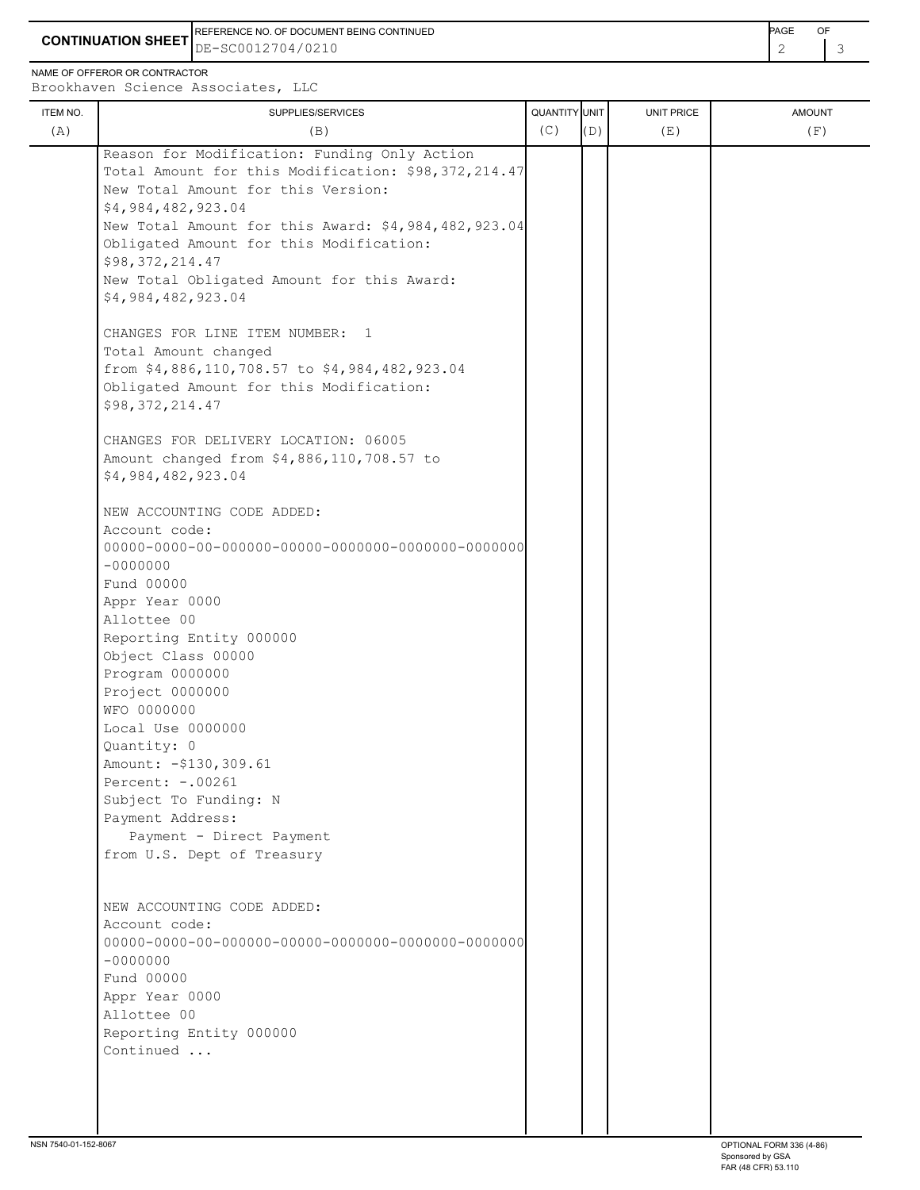**CONTINUATION SHEET** DE-SC0012704/0210 REFERENCE NO. OF DOCUMENT BEING CONTINUED **AGE ACCUMENT ACCUMENT OF A CONTINUED** 

NAME OF OFFEROR OR CONTRACTOR

| ITEM NO. | SUPPLIES/SERVICES                                   | <b>QUANTITY</b> UNIT |     | UNIT PRICE | <b>AMOUNT</b> |
|----------|-----------------------------------------------------|----------------------|-----|------------|---------------|
| (A)      | (B)                                                 | (C)                  | (D) | (E)        | (F)           |
|          | Reason for Modification: Funding Only Action        |                      |     |            |               |
|          | Total Amount for this Modification: \$98,372,214.47 |                      |     |            |               |
|          | New Total Amount for this Version:                  |                      |     |            |               |
|          | \$4,984,482,923.04                                  |                      |     |            |               |
|          | New Total Amount for this Award: \$4,984,482,923.04 |                      |     |            |               |
|          | Obligated Amount for this Modification:             |                      |     |            |               |
|          | \$98,372,214.47                                     |                      |     |            |               |
|          | New Total Obligated Amount for this Award:          |                      |     |            |               |
|          | \$4,984,482,923.04                                  |                      |     |            |               |
|          | CHANGES FOR LINE ITEM NUMBER: 1                     |                      |     |            |               |
|          | Total Amount changed                                |                      |     |            |               |
|          | from \$4,886,110,708.57 to \$4,984,482,923.04       |                      |     |            |               |
|          | Obligated Amount for this Modification:             |                      |     |            |               |
|          | \$98,372,214.47                                     |                      |     |            |               |
|          |                                                     |                      |     |            |               |
|          | CHANGES FOR DELIVERY LOCATION: 06005                |                      |     |            |               |
|          | Amount changed from \$4,886,110,708.57 to           |                      |     |            |               |
|          | \$4,984,482,923.04                                  |                      |     |            |               |
|          | NEW ACCOUNTING CODE ADDED:                          |                      |     |            |               |
|          | Account code:                                       |                      |     |            |               |
|          |                                                     |                      |     |            |               |
|          | $-0000000$                                          |                      |     |            |               |
|          | Fund 00000                                          |                      |     |            |               |
|          | Appr Year 0000                                      |                      |     |            |               |
|          | Allottee 00                                         |                      |     |            |               |
|          | Reporting Entity 000000                             |                      |     |            |               |
|          | Object Class 00000                                  |                      |     |            |               |
|          | Program 0000000                                     |                      |     |            |               |
|          | Project 0000000                                     |                      |     |            |               |
|          | WFO 0000000                                         |                      |     |            |               |
|          | Local Use 0000000                                   |                      |     |            |               |
|          | Quantity: 0                                         |                      |     |            |               |
|          | Amount: - \$130, 309.61                             |                      |     |            |               |
|          | Percent: -. 00261                                   |                      |     |            |               |
|          | Subject To Funding: N                               |                      |     |            |               |
|          | Payment Address:                                    |                      |     |            |               |
|          | Payment - Direct Payment                            |                      |     |            |               |
|          | from U.S. Dept of Treasury                          |                      |     |            |               |
|          |                                                     |                      |     |            |               |
|          | NEW ACCOUNTING CODE ADDED:                          |                      |     |            |               |
|          | Account code:                                       |                      |     |            |               |
|          |                                                     |                      |     |            |               |
|          | $-0000000$                                          |                      |     |            |               |
|          | Fund 00000                                          |                      |     |            |               |
|          | Appr Year 0000                                      |                      |     |            |               |
|          | Allottee 00                                         |                      |     |            |               |
|          | Reporting Entity 000000                             |                      |     |            |               |
|          | Continued                                           |                      |     |            |               |
|          |                                                     |                      |     |            |               |
|          |                                                     |                      |     |            |               |
|          |                                                     |                      |     |            |               |
|          |                                                     |                      |     |            |               |